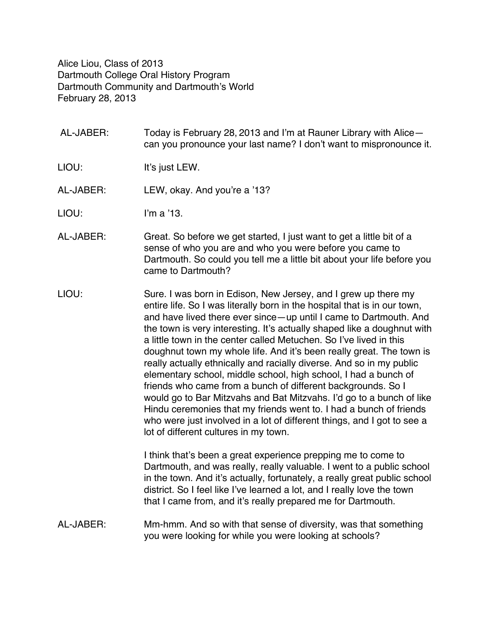Alice Liou, Class of 2013 Dartmouth College Oral History Program Dartmouth Community and Dartmouth's World February 28, 2013

- AL-JABER: Today is February 28, 2013 and I'm at Rauner Library with Alice can you pronounce your last name? I don't want to mispronounce it.
- LIOU: It's just LEW.
- AL-JABER: LEW, okay. And you're a '13?
- LIOU: I'm a '13.
- AL-JABER: Great. So before we get started, I just want to get a little bit of a sense of who you are and who you were before you came to Dartmouth. So could you tell me a little bit about your life before you came to Dartmouth?
- LIOU: Sure. I was born in Edison, New Jersey, and I grew up there my entire life. So I was literally born in the hospital that is in our town, and have lived there ever since—up until I came to Dartmouth. And the town is very interesting. It's actually shaped like a doughnut with a little town in the center called Metuchen. So I've lived in this doughnut town my whole life. And it's been really great. The town is really actually ethnically and racially diverse. And so in my public elementary school, middle school, high school, I had a bunch of friends who came from a bunch of different backgrounds. So I would go to Bar Mitzvahs and Bat Mitzvahs. I'd go to a bunch of like Hindu ceremonies that my friends went to. I had a bunch of friends who were just involved in a lot of different things, and I got to see a lot of different cultures in my town.

I think that's been a great experience prepping me to come to Dartmouth, and was really, really valuable. I went to a public school in the town. And it's actually, fortunately, a really great public school district. So I feel like I've learned a lot, and I really love the town that I came from, and it's really prepared me for Dartmouth.

AL-JABER: Mm-hmm. And so with that sense of diversity, was that something you were looking for while you were looking at schools?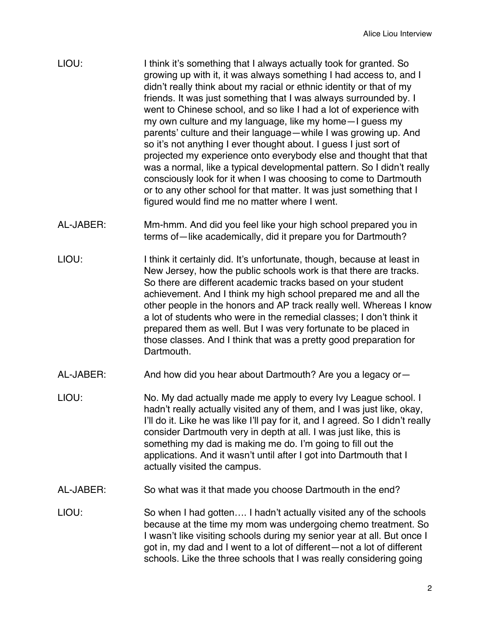| I think it's something that I always actually took for granted. So<br>growing up with it, it was always something I had access to, and I<br>didn't really think about my racial or ethnic identity or that of my<br>friends. It was just something that I was always surrounded by. I<br>went to Chinese school, and so like I had a lot of experience with<br>my own culture and my language, like my home - I guess my<br>parents' culture and their language - while I was growing up. And<br>so it's not anything I ever thought about. I guess I just sort of<br>projected my experience onto everybody else and thought that that |
|-----------------------------------------------------------------------------------------------------------------------------------------------------------------------------------------------------------------------------------------------------------------------------------------------------------------------------------------------------------------------------------------------------------------------------------------------------------------------------------------------------------------------------------------------------------------------------------------------------------------------------------------|
| was a normal, like a typical developmental pattern. So I didn't really<br>consciously look for it when I was choosing to come to Dartmouth                                                                                                                                                                                                                                                                                                                                                                                                                                                                                              |
| or to any other school for that matter. It was just something that I<br>figured would find me no matter where I went.                                                                                                                                                                                                                                                                                                                                                                                                                                                                                                                   |
|                                                                                                                                                                                                                                                                                                                                                                                                                                                                                                                                                                                                                                         |

- AL-JABER: Mm-hmm. And did you feel like your high school prepared you in terms of—like academically, did it prepare you for Dartmouth?
- LIOU: I think it certainly did. It's unfortunate, though, because at least in New Jersey, how the public schools work is that there are tracks. So there are different academic tracks based on your student achievement. And I think my high school prepared me and all the other people in the honors and AP track really well. Whereas I know a lot of students who were in the remedial classes; I don't think it prepared them as well. But I was very fortunate to be placed in those classes. And I think that was a pretty good preparation for Dartmouth.
- AL-JABER: And how did you hear about Dartmouth? Are you a legacy or—
- LIOU: No. My dad actually made me apply to every Ivy League school. I hadn't really actually visited any of them, and I was just like, okay, I'll do it. Like he was like I'll pay for it, and I agreed. So I didn't really consider Dartmouth very in depth at all. I was just like, this is something my dad is making me do. I'm going to fill out the applications. And it wasn't until after I got into Dartmouth that I actually visited the campus.
- AL-JABER: So what was it that made you choose Dartmouth in the end?
- LIOU: So when I had gotten.... I hadn't actually visited any of the schools because at the time my mom was undergoing chemo treatment. So I wasn't like visiting schools during my senior year at all. But once I got in, my dad and I went to a lot of different—not a lot of different schools. Like the three schools that I was really considering going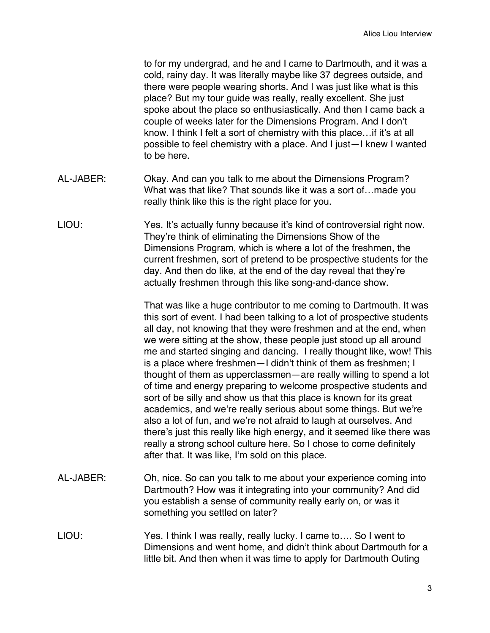to for my undergrad, and he and I came to Dartmouth, and it was a cold, rainy day. It was literally maybe like 37 degrees outside, and there were people wearing shorts. And I was just like what is this place? But my tour guide was really, really excellent. She just spoke about the place so enthusiastically. And then I came back a couple of weeks later for the Dimensions Program. And I don't know. I think I felt a sort of chemistry with this place…if it's at all possible to feel chemistry with a place. And I just—I knew I wanted to be here.

- AL-JABER: Okay. And can you talk to me about the Dimensions Program? What was that like? That sounds like it was a sort of…made you really think like this is the right place for you.
- LIOU: Yes. It's actually funny because it's kind of controversial right now. They're think of eliminating the Dimensions Show of the Dimensions Program, which is where a lot of the freshmen, the current freshmen, sort of pretend to be prospective students for the day. And then do like, at the end of the day reveal that they're actually freshmen through this like song-and-dance show.

That was like a huge contributor to me coming to Dartmouth. It was this sort of event. I had been talking to a lot of prospective students all day, not knowing that they were freshmen and at the end, when we were sitting at the show, these people just stood up all around me and started singing and dancing. I really thought like, wow! This is a place where freshmen—I didn't think of them as freshmen; I thought of them as upperclassmen—are really willing to spend a lot of time and energy preparing to welcome prospective students and sort of be silly and show us that this place is known for its great academics, and we're really serious about some things. But we're also a lot of fun, and we're not afraid to laugh at ourselves. And there's just this really like high energy, and it seemed like there was really a strong school culture here. So I chose to come definitely after that. It was like, I'm sold on this place.

- AL-JABER: Oh, nice. So can you talk to me about your experience coming into Dartmouth? How was it integrating into your community? And did you establish a sense of community really early on, or was it something you settled on later?
- LIOU: Yes. I think I was really, really lucky. I came to…. So I went to Dimensions and went home, and didn't think about Dartmouth for a little bit. And then when it was time to apply for Dartmouth Outing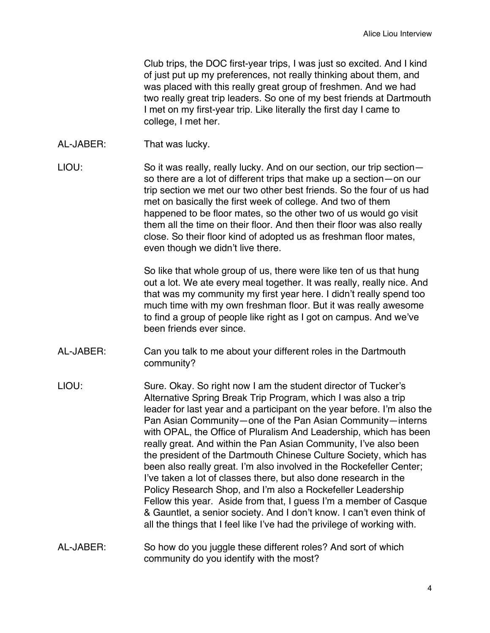Club trips, the DOC first-year trips, I was just so excited. And I kind of just put up my preferences, not really thinking about them, and was placed with this really great group of freshmen. And we had two really great trip leaders. So one of my best friends at Dartmouth I met on my first-year trip. Like literally the first day I came to college, I met her.

- AL-JABER: That was lucky.
- LIOU: So it was really, really lucky. And on our section, our trip sectionso there are a lot of different trips that make up a section—on our trip section we met our two other best friends. So the four of us had met on basically the first week of college. And two of them happened to be floor mates, so the other two of us would go visit them all the time on their floor. And then their floor was also really close. So their floor kind of adopted us as freshman floor mates, even though we didn't live there.

So like that whole group of us, there were like ten of us that hung out a lot. We ate every meal together. It was really, really nice. And that was my community my first year here. I didn't really spend too much time with my own freshman floor. But it was really awesome to find a group of people like right as I got on campus. And we've been friends ever since.

- AL-JABER: Can you talk to me about your different roles in the Dartmouth community?
- LIOU: Sure. Okay. So right now I am the student director of Tucker's Alternative Spring Break Trip Program, which I was also a trip leader for last year and a participant on the year before. I'm also the Pan Asian Community—one of the Pan Asian Community—interns with OPAL, the Office of Pluralism And Leadership, which has been really great. And within the Pan Asian Community, I've also been the president of the Dartmouth Chinese Culture Society, which has been also really great. I'm also involved in the Rockefeller Center; I've taken a lot of classes there, but also done research in the Policy Research Shop, and I'm also a Rockefeller Leadership Fellow this year. Aside from that, I guess I'm a member of Casque & Gauntlet, a senior society. And I don't know. I can't even think of all the things that I feel like I've had the privilege of working with.
- AL-JABER: So how do you juggle these different roles? And sort of which community do you identify with the most?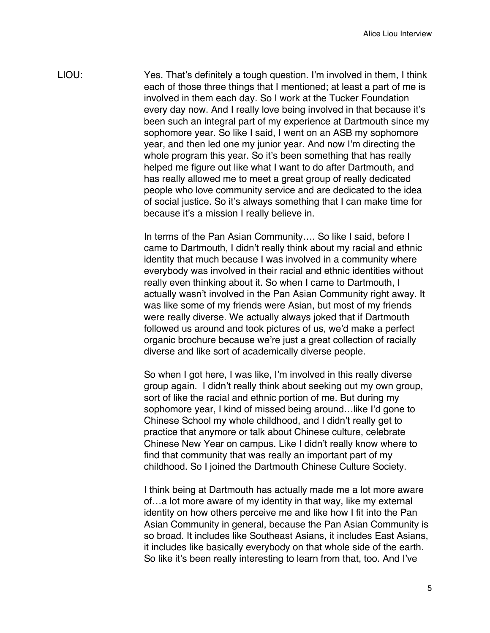LIOU: Yes. That's definitely a tough question. I'm involved in them, I think each of those three things that I mentioned; at least a part of me is involved in them each day. So I work at the Tucker Foundation every day now. And I really love being involved in that because it's been such an integral part of my experience at Dartmouth since my sophomore year. So like I said, I went on an ASB my sophomore year, and then led one my junior year. And now I'm directing the whole program this year. So it's been something that has really helped me figure out like what I want to do after Dartmouth, and has really allowed me to meet a great group of really dedicated people who love community service and are dedicated to the idea of social justice. So it's always something that I can make time for because it's a mission I really believe in.

> In terms of the Pan Asian Community…. So like I said, before I came to Dartmouth, I didn't really think about my racial and ethnic identity that much because I was involved in a community where everybody was involved in their racial and ethnic identities without really even thinking about it. So when I came to Dartmouth, I actually wasn't involved in the Pan Asian Community right away. It was like some of my friends were Asian, but most of my friends were really diverse. We actually always joked that if Dartmouth followed us around and took pictures of us, we'd make a perfect organic brochure because we're just a great collection of racially diverse and like sort of academically diverse people.

So when I got here, I was like, I'm involved in this really diverse group again. I didn't really think about seeking out my own group, sort of like the racial and ethnic portion of me. But during my sophomore year, I kind of missed being around…like I'd gone to Chinese School my whole childhood, and I didn't really get to practice that anymore or talk about Chinese culture, celebrate Chinese New Year on campus. Like I didn't really know where to find that community that was really an important part of my childhood. So I joined the Dartmouth Chinese Culture Society.

I think being at Dartmouth has actually made me a lot more aware of…a lot more aware of my identity in that way, like my external identity on how others perceive me and like how I fit into the Pan Asian Community in general, because the Pan Asian Community is so broad. It includes like Southeast Asians, it includes East Asians, it includes like basically everybody on that whole side of the earth. So like it's been really interesting to learn from that, too. And I've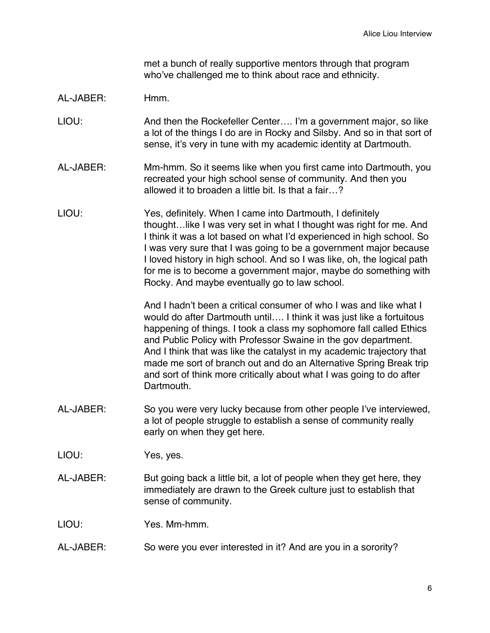met a bunch of really supportive mentors through that program who've challenged me to think about race and ethnicity.

### AL-JABER: Hmm.

- LIOU: And then the Rockefeller Center…. I'm a government major, so like a lot of the things I do are in Rocky and Silsby. And so in that sort of sense, it's very in tune with my academic identity at Dartmouth.
- AL-JABER: Mm-hmm. So it seems like when you first came into Dartmouth, you recreated your high school sense of community. And then you allowed it to broaden a little bit. Is that a fair…?
- LIOU: Yes, definitely. When I came into Dartmouth, I definitely thought…like I was very set in what I thought was right for me. And I think it was a lot based on what I'd experienced in high school. So I was very sure that I was going to be a government major because I loved history in high school. And so I was like, oh, the logical path for me is to become a government major, maybe do something with Rocky. And maybe eventually go to law school.

And I hadn't been a critical consumer of who I was and like what I would do after Dartmouth until…. I think it was just like a fortuitous happening of things. I took a class my sophomore fall called Ethics and Public Policy with Professor Swaine in the gov department. And I think that was like the catalyst in my academic trajectory that made me sort of branch out and do an Alternative Spring Break trip and sort of think more critically about what I was going to do after Dartmouth.

- AL-JABER: So you were very lucky because from other people I've interviewed, a lot of people struggle to establish a sense of community really early on when they get here.
- LIOU: Yes, yes.
- AL-JABER: But going back a little bit, a lot of people when they get here, they immediately are drawn to the Greek culture just to establish that sense of community.

LIOU: Yes. Mm-hmm.

AL-JABER: So were you ever interested in it? And are you in a sorority?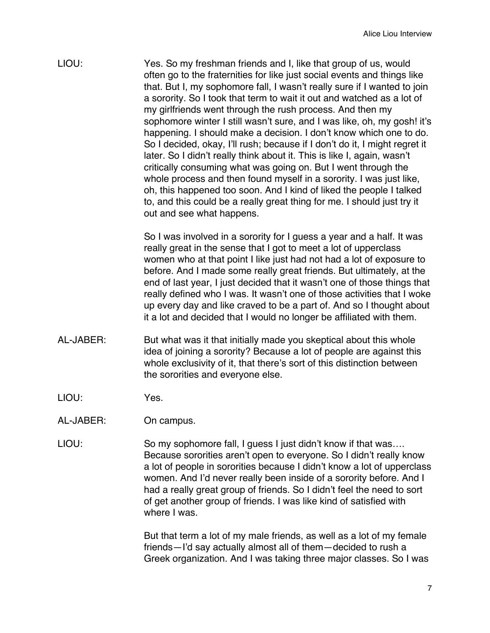LIOU: Yes. So my freshman friends and I, like that group of us, would often go to the fraternities for like just social events and things like that. But I, my sophomore fall, I wasn't really sure if I wanted to join a sorority. So I took that term to wait it out and watched as a lot of my girlfriends went through the rush process. And then my sophomore winter I still wasn't sure, and I was like, oh, my gosh! it's happening. I should make a decision. I don't know which one to do. So I decided, okay, I'll rush; because if I don't do it, I might regret it later. So I didn't really think about it. This is like I, again, wasn't critically consuming what was going on. But I went through the whole process and then found myself in a sorority. I was just like, oh, this happened too soon. And I kind of liked the people I talked to, and this could be a really great thing for me. I should just try it out and see what happens.

> So I was involved in a sorority for I guess a year and a half. It was really great in the sense that I got to meet a lot of upperclass women who at that point I like just had not had a lot of exposure to before. And I made some really great friends. But ultimately, at the end of last year, I just decided that it wasn't one of those things that really defined who I was. It wasn't one of those activities that I woke up every day and like craved to be a part of. And so I thought about it a lot and decided that I would no longer be affiliated with them.

- AL-JABER: But what was it that initially made you skeptical about this whole idea of joining a sorority? Because a lot of people are against this whole exclusivity of it, that there's sort of this distinction between the sororities and everyone else.
- LIOU: Yes.
- AL-JABER: On campus.
- LIOU: So my sophomore fall, I guess I just didn't know if that was.... Because sororities aren't open to everyone. So I didn't really know a lot of people in sororities because I didn't know a lot of upperclass women. And I'd never really been inside of a sorority before. And I had a really great group of friends. So I didn't feel the need to sort of get another group of friends. I was like kind of satisfied with where I was.

But that term a lot of my male friends, as well as a lot of my female friends—I'd say actually almost all of them—decided to rush a Greek organization. And I was taking three major classes. So I was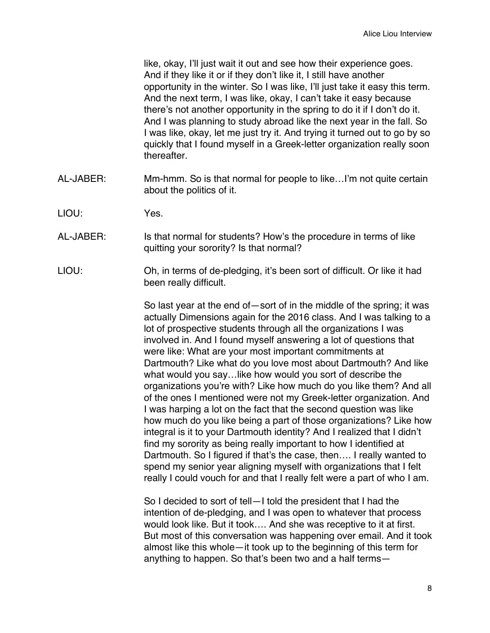like, okay, I'll just wait it out and see how their experience goes. And if they like it or if they don't like it, I still have another opportunity in the winter. So I was like, I'll just take it easy this term. And the next term, I was like, okay, I can't take it easy because there's not another opportunity in the spring to do it if I don't do it. And I was planning to study abroad like the next year in the fall. So I was like, okay, let me just try it. And trying it turned out to go by so quickly that I found myself in a Greek-letter organization really soon thereafter.

- AL-JABER: Mm-hmm. So is that normal for people to like…I'm not quite certain about the politics of it.
- LIOU: Yes.
- AL-JABER: Is that normal for students? How's the procedure in terms of like quitting your sorority? Is that normal?
- LIOU: Oh, in terms of de-pledging, it's been sort of difficult. Or like it had been really difficult.

So last year at the end of—sort of in the middle of the spring; it was actually Dimensions again for the 2016 class. And I was talking to a lot of prospective students through all the organizations I was involved in. And I found myself answering a lot of questions that were like: What are your most important commitments at Dartmouth? Like what do you love most about Dartmouth? And like what would you say…like how would you sort of describe the organizations you're with? Like how much do you like them? And all of the ones I mentioned were not my Greek-letter organization. And I was harping a lot on the fact that the second question was like how much do you like being a part of those organizations? Like how integral is it to your Dartmouth identity? And I realized that I didn't find my sorority as being really important to how I identified at Dartmouth. So I figured if that's the case, then…. I really wanted to spend my senior year aligning myself with organizations that I felt really I could vouch for and that I really felt were a part of who I am.

So I decided to sort of tell—I told the president that I had the intention of de-pledging, and I was open to whatever that process would look like. But it took…. And she was receptive to it at first. But most of this conversation was happening over email. And it took almost like this whole—it took up to the beginning of this term for anything to happen. So that's been two and a half terms—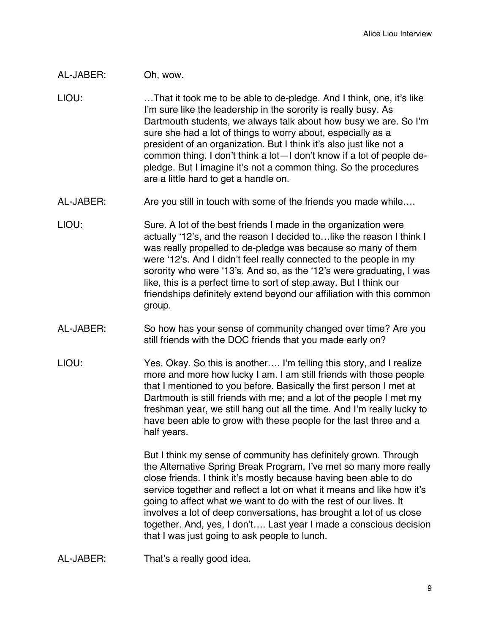# AL-JABER: Oh, wow.

- LIOU: …That it took me to be able to de-pledge. And I think, one, it's like I'm sure like the leadership in the sorority is really busy. As Dartmouth students, we always talk about how busy we are. So I'm sure she had a lot of things to worry about, especially as a president of an organization. But I think it's also just like not a common thing. I don't think a lot—I don't know if a lot of people depledge. But I imagine it's not a common thing. So the procedures are a little hard to get a handle on.
- AL-JABER: Are you still in touch with some of the friends you made while....
- LIOU: Sure. A lot of the best friends I made in the organization were actually ʻ12's, and the reason I decided to…like the reason I think I was really propelled to de-pledge was because so many of them were ʻ12's. And I didn't feel really connected to the people in my sorority who were ʻ13's. And so, as the ʻ12's were graduating, I was like, this is a perfect time to sort of step away. But I think our friendships definitely extend beyond our affiliation with this common group.
- AL-JABER: So how has your sense of community changed over time? Are you still friends with the DOC friends that you made early on?
- LIOU: Yes. Okay. So this is another…. I'm telling this story, and I realize more and more how lucky I am. I am still friends with those people that I mentioned to you before. Basically the first person I met at Dartmouth is still friends with me; and a lot of the people I met my freshman year, we still hang out all the time. And I'm really lucky to have been able to grow with these people for the last three and a half years.

But I think my sense of community has definitely grown. Through the Alternative Spring Break Program, I've met so many more really close friends. I think it's mostly because having been able to do service together and reflect a lot on what it means and like how it's going to affect what we want to do with the rest of our lives. It involves a lot of deep conversations, has brought a lot of us close together. And, yes, I don't…. Last year I made a conscious decision that I was just going to ask people to lunch.

AL-JABER: That's a really good idea.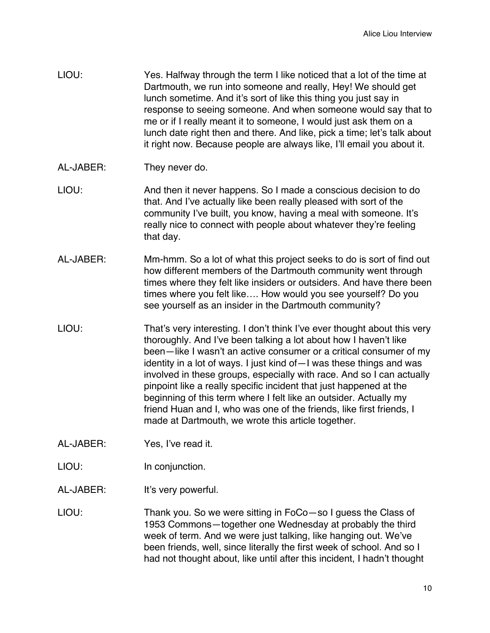| LIOU: | Yes. Halfway through the term I like noticed that a lot of the time at   |
|-------|--------------------------------------------------------------------------|
|       | Dartmouth, we run into someone and really, Hey! We should get            |
|       | lunch sometime. And it's sort of like this thing you just say in         |
|       | response to seeing someone. And when someone would say that to           |
|       | me or if I really meant it to someone, I would just ask them on a        |
|       | lunch date right then and there. And like, pick a time; let's talk about |
|       | it right now. Because people are always like, I'll email you about it.   |

- AL-JABER: They never do.
- LIOU: And then it never happens. So I made a conscious decision to do that. And I've actually like been really pleased with sort of the community I've built, you know, having a meal with someone. It's really nice to connect with people about whatever they're feeling that day.
- AL-JABER: Mm-hmm. So a lot of what this project seeks to do is sort of find out how different members of the Dartmouth community went through times where they felt like insiders or outsiders. And have there been times where you felt like…. How would you see yourself? Do you see yourself as an insider in the Dartmouth community?
- LIOU: That's very interesting. I don't think I've ever thought about this very thoroughly. And I've been talking a lot about how I haven't like been—like I wasn't an active consumer or a critical consumer of my identity in a lot of ways. I just kind of—I was these things and was involved in these groups, especially with race. And so I can actually pinpoint like a really specific incident that just happened at the beginning of this term where I felt like an outsider. Actually my friend Huan and I, who was one of the friends, like first friends, I made at Dartmouth, we wrote this article together.
- AL-JABER: Yes, I've read it.
- LIOU: In conjunction.
- AL-JABER: It's very powerful.
- LIOU: Thank you. So we were sitting in FoCo—so I guess the Class of 1953 Commons—together one Wednesday at probably the third week of term. And we were just talking, like hanging out. We've been friends, well, since literally the first week of school. And so I had not thought about, like until after this incident, I hadn't thought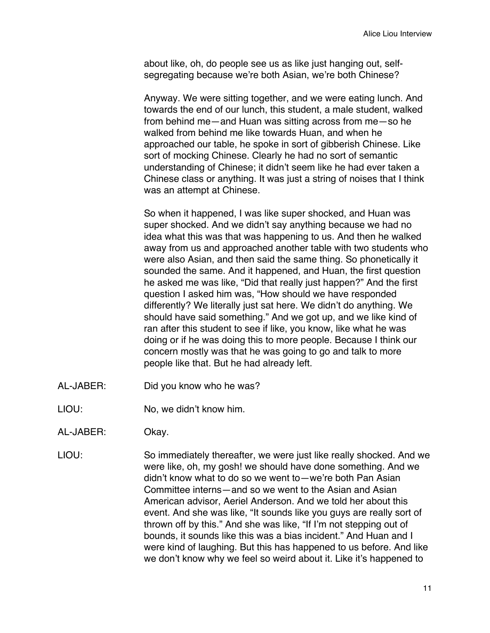about like, oh, do people see us as like just hanging out, selfsegregating because we're both Asian, we're both Chinese?

Anyway. We were sitting together, and we were eating lunch. And towards the end of our lunch, this student, a male student, walked from behind me—and Huan was sitting across from me—so he walked from behind me like towards Huan, and when he approached our table, he spoke in sort of gibberish Chinese. Like sort of mocking Chinese. Clearly he had no sort of semantic understanding of Chinese; it didn't seem like he had ever taken a Chinese class or anything. It was just a string of noises that I think was an attempt at Chinese.

So when it happened, I was like super shocked, and Huan was super shocked. And we didn't say anything because we had no idea what this was that was happening to us. And then he walked away from us and approached another table with two students who were also Asian, and then said the same thing. So phonetically it sounded the same. And it happened, and Huan, the first question he asked me was like, "Did that really just happen?" And the first question I asked him was, "How should we have responded differently? We literally just sat here. We didn't do anything. We should have said something." And we got up, and we like kind of ran after this student to see if like, you know, like what he was doing or if he was doing this to more people. Because I think our concern mostly was that he was going to go and talk to more people like that. But he had already left.

- AL-JABER: Did you know who he was?
- LIOU: No, we didn't know him.
- AL-JABER: Okay.
- LIOU: So immediately thereafter, we were just like really shocked. And we were like, oh, my gosh! we should have done something. And we didn't know what to do so we went to—we're both Pan Asian Committee interns—and so we went to the Asian and Asian American advisor, Aeriel Anderson. And we told her about this event. And she was like, "It sounds like you guys are really sort of thrown off by this." And she was like, "If I'm not stepping out of bounds, it sounds like this was a bias incident." And Huan and I were kind of laughing. But this has happened to us before. And like we don't know why we feel so weird about it. Like it's happened to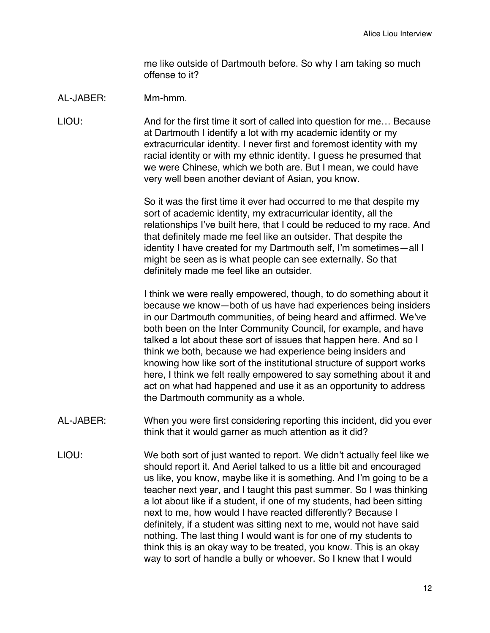me like outside of Dartmouth before. So why I am taking so much offense to it?

#### AL-JABER: Mm-hmm.

LIOU: And for the first time it sort of called into question for me… Because at Dartmouth I identify a lot with my academic identity or my extracurricular identity. I never first and foremost identity with my racial identity or with my ethnic identity. I guess he presumed that we were Chinese, which we both are. But I mean, we could have very well been another deviant of Asian, you know.

> So it was the first time it ever had occurred to me that despite my sort of academic identity, my extracurricular identity, all the relationships I've built here, that I could be reduced to my race. And that definitely made me feel like an outsider. That despite the identity I have created for my Dartmouth self, I'm sometimes—all I might be seen as is what people can see externally. So that definitely made me feel like an outsider.

> I think we were really empowered, though, to do something about it because we know—both of us have had experiences being insiders in our Dartmouth communities, of being heard and affirmed. We've both been on the Inter Community Council, for example, and have talked a lot about these sort of issues that happen here. And so I think we both, because we had experience being insiders and knowing how like sort of the institutional structure of support works here, I think we felt really empowered to say something about it and act on what had happened and use it as an opportunity to address the Dartmouth community as a whole.

- AL-JABER: When you were first considering reporting this incident, did you ever think that it would garner as much attention as it did?
- LIOU: We both sort of just wanted to report. We didn't actually feel like we should report it. And Aeriel talked to us a little bit and encouraged us like, you know, maybe like it is something. And I'm going to be a teacher next year, and I taught this past summer. So I was thinking a lot about like if a student, if one of my students, had been sitting next to me, how would I have reacted differently? Because I definitely, if a student was sitting next to me, would not have said nothing. The last thing I would want is for one of my students to think this is an okay way to be treated, you know. This is an okay way to sort of handle a bully or whoever. So I knew that I would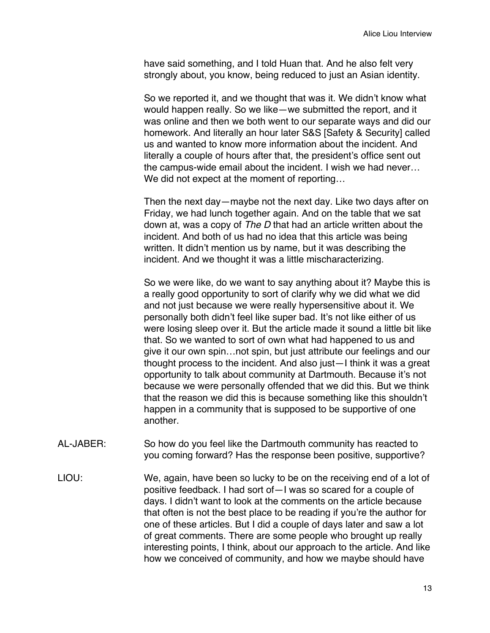have said something, and I told Huan that. And he also felt very strongly about, you know, being reduced to just an Asian identity.

So we reported it, and we thought that was it. We didn't know what would happen really. So we like—we submitted the report, and it was online and then we both went to our separate ways and did our homework. And literally an hour later S&S [Safety & Security] called us and wanted to know more information about the incident. And literally a couple of hours after that, the president's office sent out the campus-wide email about the incident. I wish we had never… We did not expect at the moment of reporting…

Then the next day—maybe not the next day. Like two days after on Friday, we had lunch together again. And on the table that we sat down at, was a copy of *The D* that had an article written about the incident. And both of us had no idea that this article was being written. It didn't mention us by name, but it was describing the incident. And we thought it was a little mischaracterizing.

So we were like, do we want to say anything about it? Maybe this is a really good opportunity to sort of clarify why we did what we did and not just because we were really hypersensitive about it. We personally both didn't feel like super bad. It's not like either of us were losing sleep over it. But the article made it sound a little bit like that. So we wanted to sort of own what had happened to us and give it our own spin…not spin, but just attribute our feelings and our thought process to the incident. And also just—I think it was a great opportunity to talk about community at Dartmouth. Because it's not because we were personally offended that we did this. But we think that the reason we did this is because something like this shouldn't happen in a community that is supposed to be supportive of one another.

- AL-JABER: So how do you feel like the Dartmouth community has reacted to you coming forward? Has the response been positive, supportive?
- LIOU: We, again, have been so lucky to be on the receiving end of a lot of positive feedback. I had sort of—I was so scared for a couple of days. I didn't want to look at the comments on the article because that often is not the best place to be reading if you're the author for one of these articles. But I did a couple of days later and saw a lot of great comments. There are some people who brought up really interesting points, I think, about our approach to the article. And like how we conceived of community, and how we maybe should have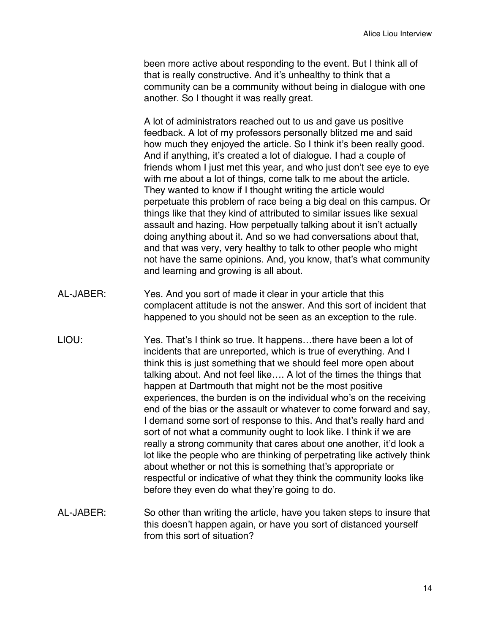been more active about responding to the event. But I think all of that is really constructive. And it's unhealthy to think that a community can be a community without being in dialogue with one another. So I thought it was really great.

A lot of administrators reached out to us and gave us positive feedback. A lot of my professors personally blitzed me and said how much they enjoyed the article. So I think it's been really good. And if anything, it's created a lot of dialogue. I had a couple of friends whom I just met this year, and who just don't see eye to eye with me about a lot of things, come talk to me about the article. They wanted to know if I thought writing the article would perpetuate this problem of race being a big deal on this campus. Or things like that they kind of attributed to similar issues like sexual assault and hazing. How perpetually talking about it isn't actually doing anything about it. And so we had conversations about that, and that was very, very healthy to talk to other people who might not have the same opinions. And, you know, that's what community and learning and growing is all about.

- AL-JABER: Yes. And you sort of made it clear in your article that this complacent attitude is not the answer. And this sort of incident that happened to you should not be seen as an exception to the rule.
- LIOU: Yes. That's I think so true. It happens…there have been a lot of incidents that are unreported, which is true of everything. And I think this is just something that we should feel more open about talking about. And not feel like…. A lot of the times the things that happen at Dartmouth that might not be the most positive experiences, the burden is on the individual who's on the receiving end of the bias or the assault or whatever to come forward and say, I demand some sort of response to this. And that's really hard and sort of not what a community ought to look like. I think if we are really a strong community that cares about one another, it'd look a lot like the people who are thinking of perpetrating like actively think about whether or not this is something that's appropriate or respectful or indicative of what they think the community looks like before they even do what they're going to do.
- AL-JABER: So other than writing the article, have you taken steps to insure that this doesn't happen again, or have you sort of distanced yourself from this sort of situation?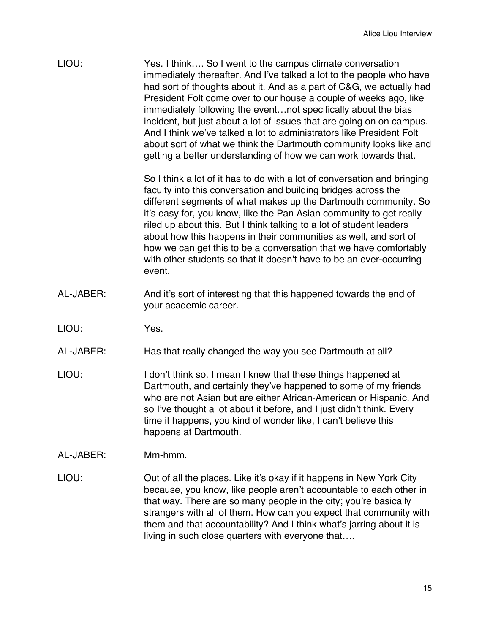| LIOU:     | Yes. I think So I went to the campus climate conversation<br>immediately thereafter. And I've talked a lot to the people who have<br>had sort of thoughts about it. And as a part of C&G, we actually had<br>President Folt come over to our house a couple of weeks ago, like<br>immediately following the eventnot specifically about the bias<br>incident, but just about a lot of issues that are going on on campus.<br>And I think we've talked a lot to administrators like President Folt<br>about sort of what we think the Dartmouth community looks like and<br>getting a better understanding of how we can work towards that. |
|-----------|--------------------------------------------------------------------------------------------------------------------------------------------------------------------------------------------------------------------------------------------------------------------------------------------------------------------------------------------------------------------------------------------------------------------------------------------------------------------------------------------------------------------------------------------------------------------------------------------------------------------------------------------|
|           | So I think a lot of it has to do with a lot of conversation and bringing<br>faculty into this conversation and building bridges across the<br>different segments of what makes up the Dartmouth community. So<br>it's easy for, you know, like the Pan Asian community to get really<br>riled up about this. But I think talking to a lot of student leaders<br>about how this happens in their communities as well, and sort of<br>how we can get this to be a conversation that we have comfortably<br>with other students so that it doesn't have to be an ever-occurring<br>event.                                                     |
| AL-JABER: | And it's sort of interesting that this happened towards the end of<br>your academic career.                                                                                                                                                                                                                                                                                                                                                                                                                                                                                                                                                |
| LIOU:     | Yes.                                                                                                                                                                                                                                                                                                                                                                                                                                                                                                                                                                                                                                       |
| AL-JABER: | Has that really changed the way you see Dartmouth at all?                                                                                                                                                                                                                                                                                                                                                                                                                                                                                                                                                                                  |
| LIOU:     | I don't think so. I mean I knew that these things happened at<br>Dartmouth, and certainly they've happened to some of my friends<br>who are not Asian but are either African-American or Hispanic. And<br>so I've thought a lot about it before, and I just didn't think. Every<br>time it happens, you kind of wonder like, I can't believe this<br>happens at Dartmouth.                                                                                                                                                                                                                                                                 |
| AL-JABER: | Mm-hmm.                                                                                                                                                                                                                                                                                                                                                                                                                                                                                                                                                                                                                                    |
| LIOU:     | Out of all the places. Like it's okay if it happens in New York City<br>because, you know, like people aren't accountable to each other in<br>that way. There are so many people in the city; you're basically<br>strangers with all of them. How can you expect that community with<br>them and that accountability? And I think what's jarring about it is<br>living in such close quarters with everyone that                                                                                                                                                                                                                           |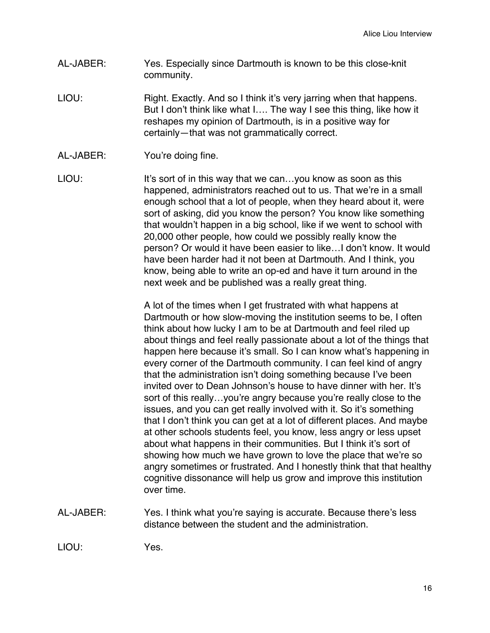- AL-JABER: Yes. Especially since Dartmouth is known to be this close-knit community.
- LIOU: Right. Exactly. And so I think it's very jarring when that happens. But I don't think like what I…. The way I see this thing, like how it reshapes my opinion of Dartmouth, is in a positive way for certainly—that was not grammatically correct.
- AL-JABER: You're doing fine.
- LIOU: It's sort of in this way that we can...you know as soon as this happened, administrators reached out to us. That we're in a small enough school that a lot of people, when they heard about it, were sort of asking, did you know the person? You know like something that wouldn't happen in a big school, like if we went to school with 20,000 other people, how could we possibly really know the person? Or would it have been easier to like…I don't know. It would have been harder had it not been at Dartmouth. And I think, you know, being able to write an op-ed and have it turn around in the next week and be published was a really great thing.

A lot of the times when I get frustrated with what happens at Dartmouth or how slow-moving the institution seems to be, I often think about how lucky I am to be at Dartmouth and feel riled up about things and feel really passionate about a lot of the things that happen here because it's small. So I can know what's happening in every corner of the Dartmouth community. I can feel kind of angry that the administration isn't doing something because I've been invited over to Dean Johnson's house to have dinner with her. It's sort of this really...you're angry because you're really close to the issues, and you can get really involved with it. So it's something that I don't think you can get at a lot of different places. And maybe at other schools students feel, you know, less angry or less upset about what happens in their communities. But I think it's sort of showing how much we have grown to love the place that we're so angry sometimes or frustrated. And I honestly think that that healthy cognitive dissonance will help us grow and improve this institution over time.

AL-JABER: Yes. I think what you're saying is accurate. Because there's less distance between the student and the administration.

LIOU: Yes.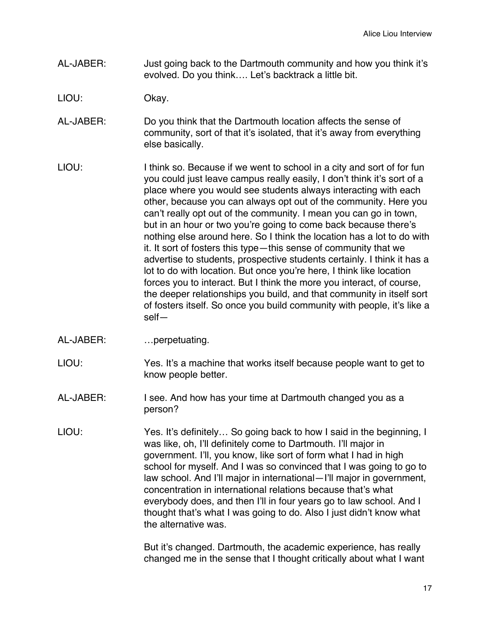- AL-JABER: Just going back to the Dartmouth community and how you think it's evolved. Do you think…. Let's backtrack a little bit.
- LIOU: Okay.
- AL-JABER: Do you think that the Dartmouth location affects the sense of community, sort of that it's isolated, that it's away from everything else basically.
- LIOU: I think so. Because if we went to school in a city and sort of for fun you could just leave campus really easily, I don't think it's sort of a place where you would see students always interacting with each other, because you can always opt out of the community. Here you can't really opt out of the community. I mean you can go in town, but in an hour or two you're going to come back because there's nothing else around here. So I think the location has a lot to do with it. It sort of fosters this type—this sense of community that we advertise to students, prospective students certainly. I think it has a lot to do with location. But once you're here, I think like location forces you to interact. But I think the more you interact, of course, the deeper relationships you build, and that community in itself sort of fosters itself. So once you build community with people, it's like a self—
- AL-JABER: …perpetuating.
- LIOU: Yes. It's a machine that works itself because people want to get to know people better.
- AL-JABER: I see. And how has your time at Dartmouth changed you as a person?
- LIOU: Yes. It's definitely... So going back to how I said in the beginning, I was like, oh, I'll definitely come to Dartmouth. I'll major in government. I'll, you know, like sort of form what I had in high school for myself. And I was so convinced that I was going to go to law school. And I'll major in international—I'll major in government, concentration in international relations because that's what everybody does, and then I'll in four years go to law school. And I thought that's what I was going to do. Also I just didn't know what the alternative was.

But it's changed. Dartmouth, the academic experience, has really changed me in the sense that I thought critically about what I want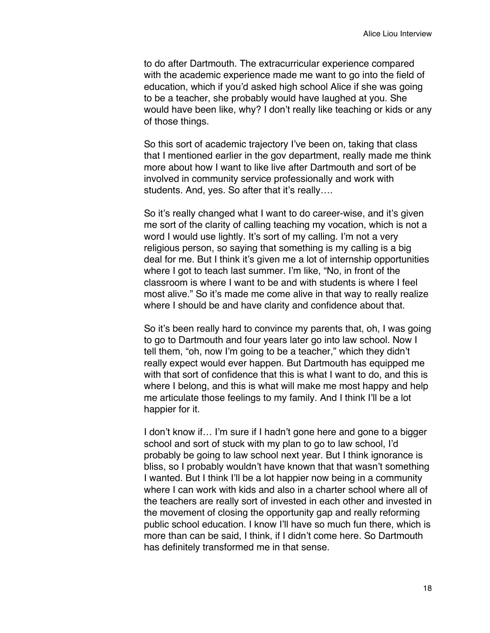to do after Dartmouth. The extracurricular experience compared with the academic experience made me want to go into the field of education, which if you'd asked high school Alice if she was going to be a teacher, she probably would have laughed at you. She would have been like, why? I don't really like teaching or kids or any of those things.

So this sort of academic trajectory I've been on, taking that class that I mentioned earlier in the gov department, really made me think more about how I want to like live after Dartmouth and sort of be involved in community service professionally and work with students. And, yes. So after that it's really....

So it's really changed what I want to do career-wise, and it's given me sort of the clarity of calling teaching my vocation, which is not a word I would use lightly. It's sort of my calling. I'm not a very religious person, so saying that something is my calling is a big deal for me. But I think it's given me a lot of internship opportunities where I got to teach last summer. I'm like, "No, in front of the classroom is where I want to be and with students is where I feel most alive." So it's made me come alive in that way to really realize where I should be and have clarity and confidence about that.

So it's been really hard to convince my parents that, oh, I was going to go to Dartmouth and four years later go into law school. Now I tell them, "oh, now I'm going to be a teacher," which they didn't really expect would ever happen. But Dartmouth has equipped me with that sort of confidence that this is what I want to do, and this is where I belong, and this is what will make me most happy and help me articulate those feelings to my family. And I think I'll be a lot happier for it.

I don't know if... I'm sure if I hadn't gone here and gone to a bigger school and sort of stuck with my plan to go to law school, I'd probably be going to law school next year. But I think ignorance is bliss, so I probably wouldn't have known that that wasn't something I wanted. But I think I'll be a lot happier now being in a community where I can work with kids and also in a charter school where all of the teachers are really sort of invested in each other and invested in the movement of closing the opportunity gap and really reforming public school education. I know I'll have so much fun there, which is more than can be said, I think, if I didn't come here. So Dartmouth has definitely transformed me in that sense.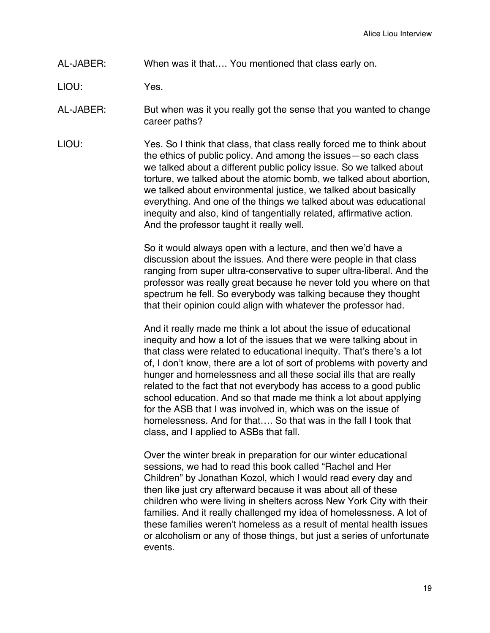# AL-JABER: When was it that…. You mentioned that class early on.

LIOU: Yes.

AL-JABER: But when was it you really got the sense that you wanted to change career paths?

LIOU: Yes. So I think that class, that class really forced me to think about the ethics of public policy. And among the issues—so each class we talked about a different public policy issue. So we talked about torture, we talked about the atomic bomb, we talked about abortion, we talked about environmental justice, we talked about basically everything. And one of the things we talked about was educational inequity and also, kind of tangentially related, affirmative action. And the professor taught it really well.

> So it would always open with a lecture, and then we'd have a discussion about the issues. And there were people in that class ranging from super ultra-conservative to super ultra-liberal. And the professor was really great because he never told you where on that spectrum he fell. So everybody was talking because they thought that their opinion could align with whatever the professor had.

> And it really made me think a lot about the issue of educational inequity and how a lot of the issues that we were talking about in that class were related to educational inequity. That's there's a lot of, I don't know, there are a lot of sort of problems with poverty and hunger and homelessness and all these social ills that are really related to the fact that not everybody has access to a good public school education. And so that made me think a lot about applying for the ASB that I was involved in, which was on the issue of homelessness. And for that…. So that was in the fall I took that class, and I applied to ASBs that fall.

> Over the winter break in preparation for our winter educational sessions, we had to read this book called "Rachel and Her Children" by Jonathan Kozol, which I would read every day and then like just cry afterward because it was about all of these children who were living in shelters across New York City with their families. And it really challenged my idea of homelessness. A lot of these families weren't homeless as a result of mental health issues or alcoholism or any of those things, but just a series of unfortunate events.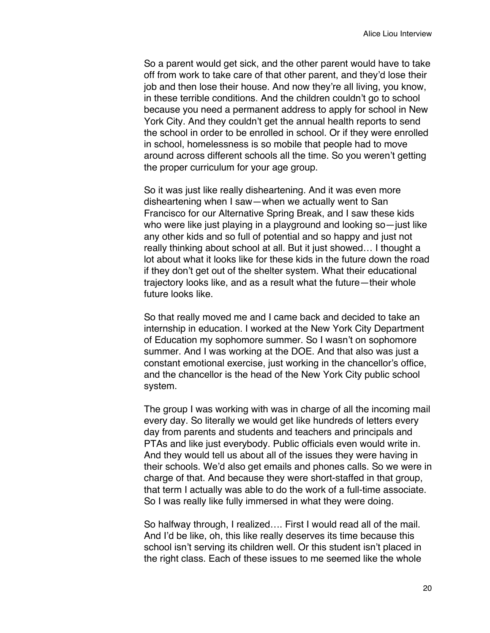So a parent would get sick, and the other parent would have to take off from work to take care of that other parent, and they'd lose their job and then lose their house. And now they're all living, you know, in these terrible conditions. And the children couldn't go to school because you need a permanent address to apply for school in New York City. And they couldn't get the annual health reports to send the school in order to be enrolled in school. Or if they were enrolled in school, homelessness is so mobile that people had to move around across different schools all the time. So you weren't getting the proper curriculum for your age group.

So it was just like really disheartening. And it was even more disheartening when I saw—when we actually went to San Francisco for our Alternative Spring Break, and I saw these kids who were like just playing in a playground and looking so—just like any other kids and so full of potential and so happy and just not really thinking about school at all. But it just showed… I thought a lot about what it looks like for these kids in the future down the road if they don't get out of the shelter system. What their educational trajectory looks like, and as a result what the future—their whole future looks like.

So that really moved me and I came back and decided to take an internship in education. I worked at the New York City Department of Education my sophomore summer. So I wasn't on sophomore summer. And I was working at the DOE. And that also was just a constant emotional exercise, just working in the chancellor's office, and the chancellor is the head of the New York City public school system.

The group I was working with was in charge of all the incoming mail every day. So literally we would get like hundreds of letters every day from parents and students and teachers and principals and PTAs and like just everybody. Public officials even would write in. And they would tell us about all of the issues they were having in their schools. We'd also get emails and phones calls. So we were in charge of that. And because they were short-staffed in that group, that term I actually was able to do the work of a full-time associate. So I was really like fully immersed in what they were doing.

So halfway through, I realized…. First I would read all of the mail. And I'd be like, oh, this like really deserves its time because this school isn't serving its children well. Or this student isn't placed in the right class. Each of these issues to me seemed like the whole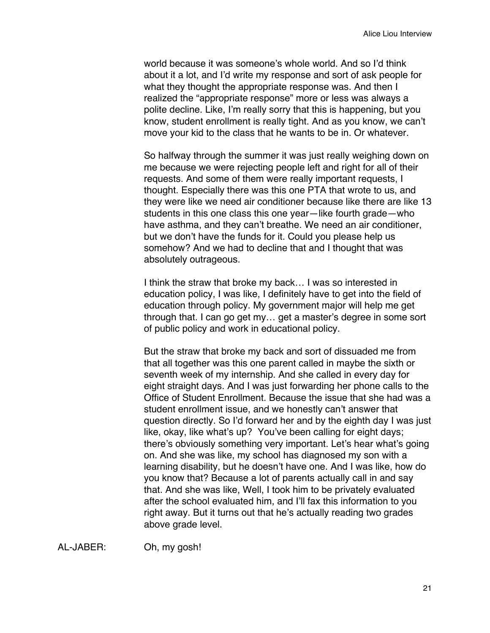world because it was someone's whole world. And so I'd think about it a lot, and I'd write my response and sort of ask people for what they thought the appropriate response was. And then I realized the "appropriate response" more or less was always a polite decline. Like, I'm really sorry that this is happening, but you know, student enrollment is really tight. And as you know, we can't move your kid to the class that he wants to be in. Or whatever.

So halfway through the summer it was just really weighing down on me because we were rejecting people left and right for all of their requests. And some of them were really important requests, I thought. Especially there was this one PTA that wrote to us, and they were like we need air conditioner because like there are like 13 students in this one class this one year—like fourth grade—who have asthma, and they can't breathe. We need an air conditioner, but we don't have the funds for it. Could you please help us somehow? And we had to decline that and I thought that was absolutely outrageous.

I think the straw that broke my back… I was so interested in education policy, I was like, I definitely have to get into the field of education through policy. My government major will help me get through that. I can go get my… get a master's degree in some sort of public policy and work in educational policy.

But the straw that broke my back and sort of dissuaded me from that all together was this one parent called in maybe the sixth or seventh week of my internship. And she called in every day for eight straight days. And I was just forwarding her phone calls to the Office of Student Enrollment. Because the issue that she had was a student enrollment issue, and we honestly can't answer that question directly. So I'd forward her and by the eighth day I was just like, okay, like what's up? You've been calling for eight days; there's obviously something very important. Let's hear what's going on. And she was like, my school has diagnosed my son with a learning disability, but he doesn't have one. And I was like, how do you know that? Because a lot of parents actually call in and say that. And she was like, Well, I took him to be privately evaluated after the school evaluated him, and I'll fax this information to you right away. But it turns out that he's actually reading two grades above grade level.

AL-JABER: Oh, my gosh!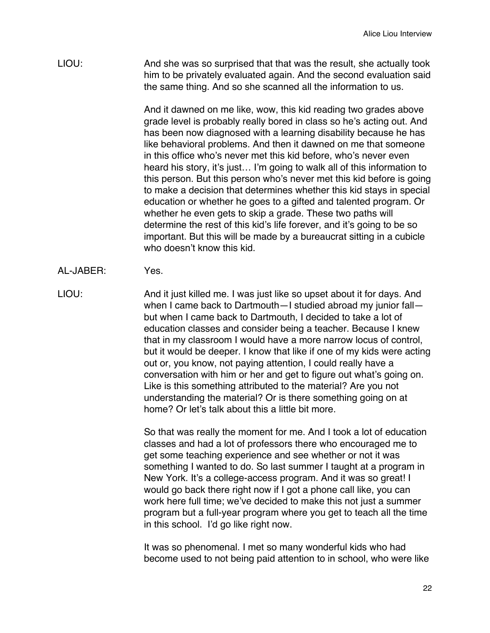LIOU: And she was so surprised that that was the result, she actually took him to be privately evaluated again. And the second evaluation said the same thing. And so she scanned all the information to us.

> And it dawned on me like, wow, this kid reading two grades above grade level is probably really bored in class so he's acting out. And has been now diagnosed with a learning disability because he has like behavioral problems. And then it dawned on me that someone in this office who's never met this kid before, who's never even heard his story, it's just… I'm going to walk all of this information to this person. But this person who's never met this kid before is going to make a decision that determines whether this kid stays in special education or whether he goes to a gifted and talented program. Or whether he even gets to skip a grade. These two paths will determine the rest of this kid's life forever, and it's going to be so important. But this will be made by a bureaucrat sitting in a cubicle who doesn't know this kid.

AL-JABER: Yes.

LIOU: And it just killed me. I was just like so upset about it for days. And when I came back to Dartmouth-I studied abroad my junior fallbut when I came back to Dartmouth, I decided to take a lot of education classes and consider being a teacher. Because I knew that in my classroom I would have a more narrow locus of control, but it would be deeper. I know that like if one of my kids were acting out or, you know, not paying attention, I could really have a conversation with him or her and get to figure out what's going on. Like is this something attributed to the material? Are you not understanding the material? Or is there something going on at home? Or let's talk about this a little bit more.

> So that was really the moment for me. And I took a lot of education classes and had a lot of professors there who encouraged me to get some teaching experience and see whether or not it was something I wanted to do. So last summer I taught at a program in New York. It's a college-access program. And it was so great! I would go back there right now if I got a phone call like, you can work here full time; we've decided to make this not just a summer program but a full-year program where you get to teach all the time in this school. I'd go like right now.

> It was so phenomenal. I met so many wonderful kids who had become used to not being paid attention to in school, who were like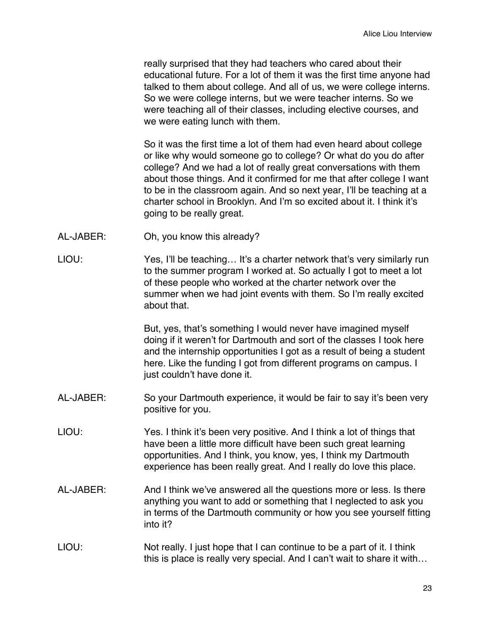really surprised that they had teachers who cared about their educational future. For a lot of them it was the first time anyone had talked to them about college. And all of us, we were college interns. So we were college interns, but we were teacher interns. So we were teaching all of their classes, including elective courses, and we were eating lunch with them.

So it was the first time a lot of them had even heard about college or like why would someone go to college? Or what do you do after college? And we had a lot of really great conversations with them about those things. And it confirmed for me that after college I want to be in the classroom again. And so next year, I'll be teaching at a charter school in Brooklyn. And I'm so excited about it. I think it's going to be really great.

- AL-JABER: Oh, you know this already?
- LIOU: Yes, I'll be teaching… It's a charter network that's very similarly run to the summer program I worked at. So actually I got to meet a lot of these people who worked at the charter network over the summer when we had joint events with them. So I'm really excited about that.

But, yes, that's something I would never have imagined myself doing if it weren't for Dartmouth and sort of the classes I took here and the internship opportunities I got as a result of being a student here. Like the funding I got from different programs on campus. I just couldn't have done it.

- AL-JABER: So your Dartmouth experience, it would be fair to say it's been very positive for you.
- LIOU: Yes. I think it's been very positive. And I think a lot of things that have been a little more difficult have been such great learning opportunities. And I think, you know, yes, I think my Dartmouth experience has been really great. And I really do love this place.
- AL-JABER: And I think we've answered all the questions more or less. Is there anything you want to add or something that I neglected to ask you in terms of the Dartmouth community or how you see yourself fitting into it?
- LIOU: Not really. I just hope that I can continue to be a part of it. I think this is place is really very special. And I can't wait to share it with…